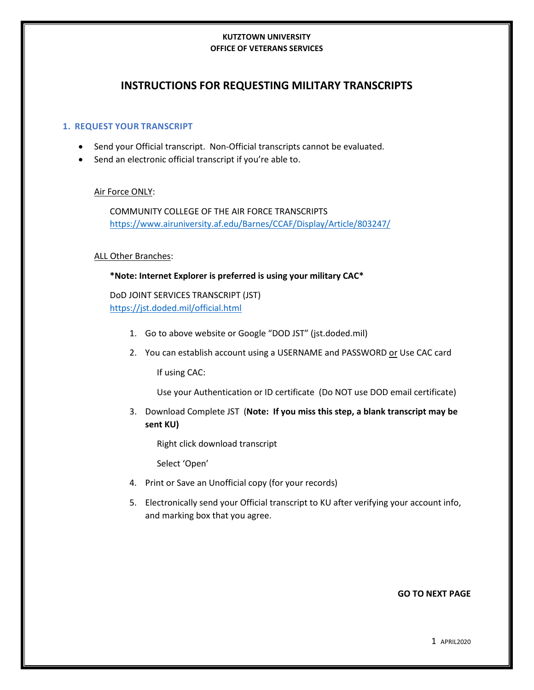#### **KUTZTOWN UNIVERSITY OFFICE OF VETERANS SERVICES**

# **INSTRUCTIONS FOR REQUESTING MILITARY TRANSCRIPTS**

### **1. REQUEST YOUR TRANSCRIPT**

- Send your Official transcript. Non-Official transcripts cannot be evaluated.
- Send an electronic official transcript if you're able to.

### Air Force ONLY:

COMMUNITY COLLEGE OF THE AIR FORCE TRANSCRIPTS <https://www.airuniversity.af.edu/Barnes/CCAF/Display/Article/803247/>

### ALL Other Branches:

### **\*Note: Internet Explorer is preferred is using your military CAC\***

DoD JOINT SERVICES TRANSCRIPT (JST) <https://jst.doded.mil/official.html>

- 1. Go to above website or Google "DOD JST" (jst.doded.mil)
- 2. You can establish account using a USERNAME and PASSWORD or Use CAC card

If using CAC:

Use your Authentication or ID certificate (Do NOT use DOD email certificate)

3. Download Complete JST (**Note: If you miss this step, a blank transcript may be sent KU)**

Right click download transcript

Select 'Open'

- 4. Print or Save an Unofficial copy (for your records)
- 5. Electronically send your Official transcript to KU after verifying your account info, and marking box that you agree.

#### **GO TO NEXT PAGE**

1 APRIL2020